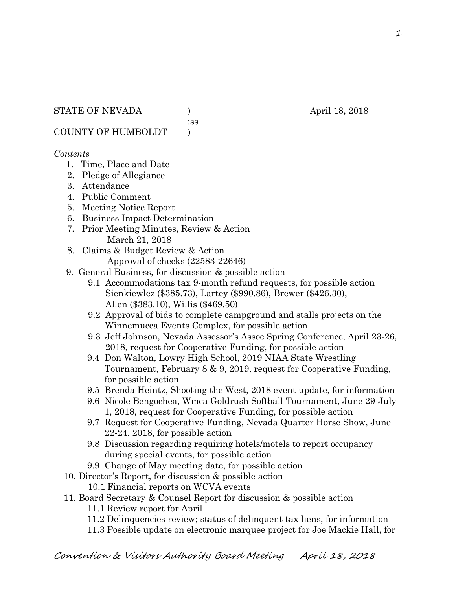:ss

COUNTY OF HUMBOLDT )

# *Contents*

- 1. Time, Place and Date
- 2. Pledge of Allegiance
- 3. Attendance
- 4. Public Comment
- 5. Meeting Notice Report
- 6. Business Impact Determination
- 7. Prior Meeting Minutes, Review & Action March 21, 2018
- 8. Claims & Budget Review & Action
	- Approval of checks (22583-22646)
- 9. General Business, for discussion & possible action
	- 9.1 Accommodations tax 9-month refund requests, for possible action Sienkiewlez (\$385.73), Lartey (\$990.86), Brewer (\$426.30), Allen (\$383.10), Willis (\$469.50)
	- 9.2 Approval of bids to complete campground and stalls projects on the Winnemucca Events Complex, for possible action
	- 9.3 Jeff Johnson, Nevada Assessor's Assoc Spring Conference, April 23-26, 2018, request for Cooperative Funding, for possible action
	- 9.4 Don Walton, Lowry High School, 2019 NIAA State Wrestling Tournament, February 8 & 9, 2019, request for Cooperative Funding, for possible action
	- 9.5 Brenda Heintz, Shooting the West, 2018 event update, for information
	- 9.6 Nicole Bengochea, Wmca Goldrush Softball Tournament, June 29-July 1, 2018, request for Cooperative Funding, for possible action
	- 9.7 Request for Cooperative Funding, Nevada Quarter Horse Show, June 22-24, 2018, for possible action
	- 9.8 Discussion regarding requiring hotels/motels to report occupancy during special events, for possible action
	- 9.9 Change of May meeting date, for possible action
- 10. Director's Report, for discussion & possible action
	- 10.1 Financial reports on WCVA events
- 11. Board Secretary & Counsel Report for discussion & possible action
	- 11.1 Review report for April
	- 11.2 Delinquencies review; status of delinquent tax liens, for information
	- 11.3 Possible update on electronic marquee project for Joe Mackie Hall, for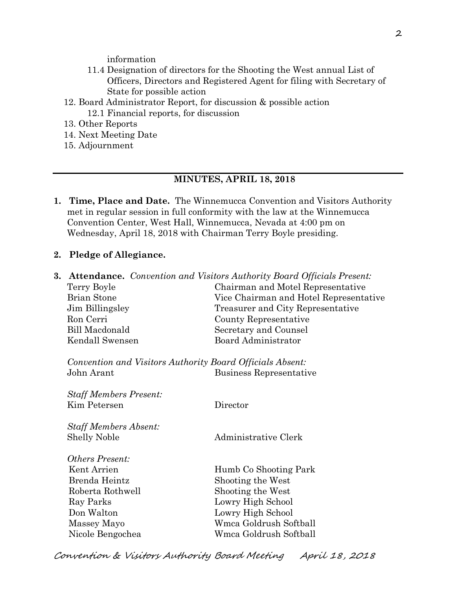information

- 11.4 Designation of directors for the Shooting the West annual List of Officers, Directors and Registered Agent for filing with Secretary of State for possible action
- 12. Board Administrator Report, for discussion & possible action 12.1 Financial reports, for discussion
- 13. Other Reports
- 14. Next Meeting Date
- 15. Adjournment

## **MINUTES, APRIL 18, 2018**

- **1. Time, Place and Date.** The Winnemucca Convention and Visitors Authority met in regular session in full conformity with the law at the Winnemucca Convention Center, West Hall, Winnemucca, Nevada at 4:00 pm on Wednesday, April 18, 2018 with Chairman Terry Boyle presiding.
- **2. Pledge of Allegiance.**

| 3. |                                                           | <b>Attendance.</b> Convention and Visitors Authority Board Officials Present: |
|----|-----------------------------------------------------------|-------------------------------------------------------------------------------|
|    | Terry Boyle                                               | Chairman and Motel Representative                                             |
|    | <b>Brian Stone</b>                                        | Vice Chairman and Hotel Representative                                        |
|    | Jim Billingsley                                           | Treasurer and City Representative                                             |
|    | Ron Cerri                                                 | County Representative                                                         |
|    | <b>Bill Macdonald</b>                                     | Secretary and Counsel                                                         |
|    | Kendall Swensen                                           | Board Administrator                                                           |
|    | Convention and Visitors Authority Board Officials Absent: |                                                                               |
|    | John Arant                                                | Business Representative                                                       |
|    | <b>Staff Members Present:</b>                             |                                                                               |
|    | Kim Petersen                                              | Director                                                                      |
|    | <b>Staff Members Absent:</b>                              |                                                                               |
|    | <b>Shelly Noble</b>                                       | Administrative Clerk                                                          |
|    | <i>Others Present:</i>                                    |                                                                               |
|    | Kent Arrien                                               | Humb Co Shooting Park                                                         |
|    | Brenda Heintz                                             | Shooting the West                                                             |
|    | Roberta Rothwell                                          | Shooting the West                                                             |
|    | Ray Parks                                                 | Lowry High School                                                             |
|    | Don Walton                                                | Lowry High School                                                             |
|    | Massey Mayo                                               | Wmca Goldrush Softball                                                        |
|    | Nicole Bengochea                                          | Wmca Goldrush Softball                                                        |
|    |                                                           |                                                                               |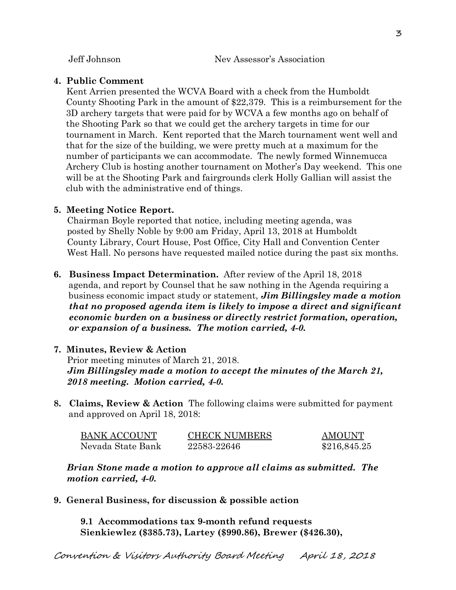#### **4. Public Comment**

Kent Arrien presented the WCVA Board with a check from the Humboldt County Shooting Park in the amount of \$22,379. This is a reimbursement for the 3D archery targets that were paid for by WCVA a few months ago on behalf of the Shooting Park so that we could get the archery targets in time for our tournament in March. Kent reported that the March tournament went well and that for the size of the building, we were pretty much at a maximum for the number of participants we can accommodate. The newly formed Winnemucca Archery Club is hosting another tournament on Mother's Day weekend. This one will be at the Shooting Park and fairgrounds clerk Holly Gallian will assist the club with the administrative end of things.

## **5. Meeting Notice Report.**

Chairman Boyle reported that notice, including meeting agenda, was posted by Shelly Noble by 9:00 am Friday, April 13, 2018 at Humboldt County Library, Court House, Post Office, City Hall and Convention Center West Hall. No persons have requested mailed notice during the past six months.

**6. Business Impact Determination.** After review of the April 18, 2018 agenda, and report by Counsel that he saw nothing in the Agenda requiring a business economic impact study or statement, *Jim Billingsley made a motion that no proposed agenda item is likely to impose a direct and significant economic burden on a business or directly restrict formation, operation, or expansion of a business. The motion carried, 4-0.* 

# **7. Minutes, Review & Action**

Prior meeting minutes of March 21, 2018. *Jim Billingsley made a motion to accept the minutes of the March 21, 2018 meeting. Motion carried, 4-0.* 

**8. Claims, Review & Action** The following claims were submitted for payment and approved on April 18, 2018:

| <b>BANK ACCOUNT</b> | <b>CHECK NUMBERS</b> | <b>AMOUNT</b> |
|---------------------|----------------------|---------------|
| Nevada State Bank   | 22583-22646          | \$216,845.25  |

*Brian Stone made a motion to approve all claims as submitted. The motion carried, 4-0.* 

**9. General Business, for discussion & possible action** 

**9.1 Accommodations tax 9-month refund requests Sienkiewlez (\$385.73), Lartey (\$990.86), Brewer (\$426.30),**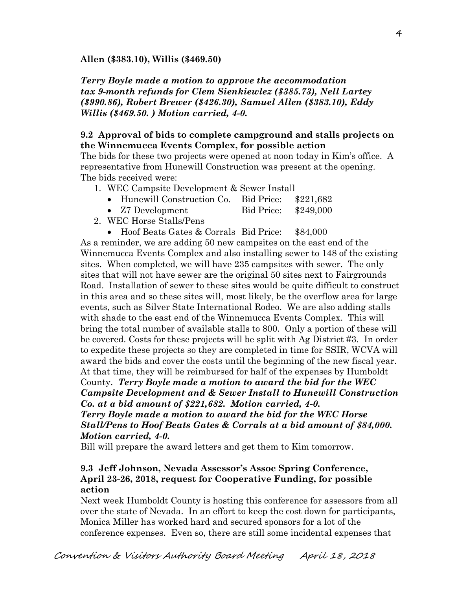**Allen (\$383.10), Willis (\$469.50)** 

*Terry Boyle made a motion to approve the accommodation tax 9-month refunds for Clem Sienkiewlez (\$385.73), Nell Lartey (\$990.86), Robert Brewer (\$426.30), Samuel Allen (\$383.10), Eddy Willis (\$469.50. ) Motion carried, 4-0.*

# **9.2 Approval of bids to complete campground and stalls projects on the Winnemucca Events Complex, for possible action**

The bids for these two projects were opened at noon today in Kim's office. A representative from Hunewill Construction was present at the opening. The bids received were:

- 1. WEC Campsite Development & Sewer Install
	- Hunewill Construction Co. Bid Price: \$221,682
	- Z7 Development Bid Price: \$249,000
- 2. WEC Horse Stalls/Pens
	- Hoof Beats Gates & Corrals Bid Price: \$84,000

As a reminder, we are adding 50 new campsites on the east end of the Winnemucca Events Complex and also installing sewer to 148 of the existing sites. When completed, we will have 235 campsites with sewer. The only sites that will not have sewer are the original 50 sites next to Fairgrounds Road. Installation of sewer to these sites would be quite difficult to construct in this area and so these sites will, most likely, be the overflow area for large events, such as Silver State International Rodeo. We are also adding stalls with shade to the east end of the Winnemucca Events Complex. This will bring the total number of available stalls to 800. Only a portion of these will be covered. Costs for these projects will be split with Ag District #3. In order to expedite these projects so they are completed in time for SSIR, WCVA will award the bids and cover the costs until the beginning of the new fiscal year. At that time, they will be reimbursed for half of the expenses by Humboldt

County. *Terry Boyle made a motion to award the bid for the WEC Campsite Development and & Sewer Install to Hunewill Construction Co. at a bid amount of \$221,682. Motion carried, 4-0.*

*Terry Boyle made a motion to award the bid for the WEC Horse Stall/Pens to Hoof Beats Gates & Corrals at a bid amount of \$84,000. Motion carried, 4-0.* 

Bill will prepare the award letters and get them to Kim tomorrow.

# **9.3 Jeff Johnson, Nevada Assessor's Assoc Spring Conference, April 23-26, 2018, request for Cooperative Funding, for possible action**

Next week Humboldt County is hosting this conference for assessors from all over the state of Nevada. In an effort to keep the cost down for participants, Monica Miller has worked hard and secured sponsors for a lot of the conference expenses. Even so, there are still some incidental expenses that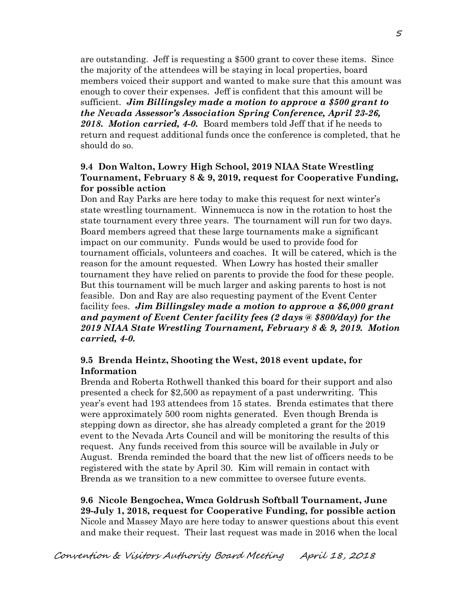are outstanding. Jeff is requesting a \$500 grant to cover these items. Since the majority of the attendees will be staying in local properties, board members voiced their support and wanted to make sure that this amount was enough to cover their expenses. Jeff is confident that this amount will be sufficient. *Jim Billingsley made a motion to approve a \$500 grant to the Nevada Assessor's Association Spring Conference, April 23-26, 2018. Motion carried, 4-0.* Board members told Jeff that if he needs to return and request additional funds once the conference is completed, that he should do so.

# **9.4 Don Walton, Lowry High School, 2019 NIAA State Wrestling Tournament, February 8 & 9, 2019, request for Cooperative Funding, for possible action**

Don and Ray Parks are here today to make this request for next winter's state wrestling tournament. Winnemucca is now in the rotation to host the state tournament every three years. The tournament will run for two days. Board members agreed that these large tournaments make a significant impact on our community. Funds would be used to provide food for tournament officials, volunteers and coaches. It will be catered, which is the reason for the amount requested. When Lowry has hosted their smaller tournament they have relied on parents to provide the food for these people. But this tournament will be much larger and asking parents to host is not feasible. Don and Ray are also requesting payment of the Event Center facility fees. *Jim Billingsley made a motion to approve a \$6,000 grant and payment of Event Center facility fees (2 days @ \$800/day) for the 2019 NIAA State Wrestling Tournament, February 8 & 9, 2019. Motion carried, 4-0.*

# **9.5 Brenda Heintz, Shooting the West, 2018 event update, for Information**

Brenda and Roberta Rothwell thanked this board for their support and also presented a check for \$2,500 as repayment of a past underwriting. This year's event had 193 attendees from 15 states. Brenda estimates that there were approximately 500 room nights generated. Even though Brenda is stepping down as director, she has already completed a grant for the 2019 event to the Nevada Arts Council and will be monitoring the results of this request. Any funds received from this source will be available in July or August. Brenda reminded the board that the new list of officers needs to be registered with the state by April 30. Kim will remain in contact with Brenda as we transition to a new committee to oversee future events.

**9.6 Nicole Bengochea, Wmca Goldrush Softball Tournament, June 29-July 1, 2018, request for Cooperative Funding, for possible action**  Nicole and Massey Mayo are here today to answer questions about this event and make their request. Their last request was made in 2016 when the local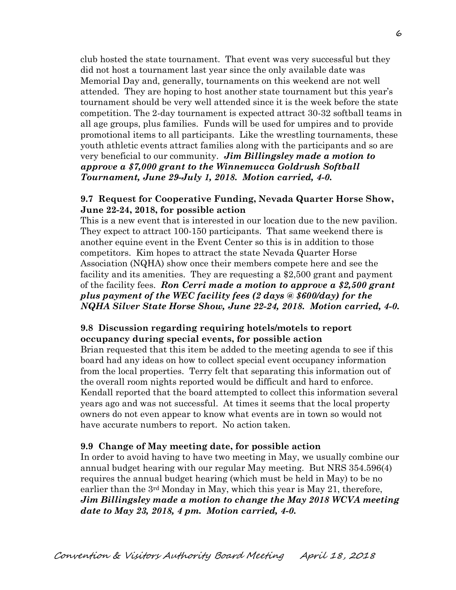club hosted the state tournament. That event was very successful but they did not host a tournament last year since the only available date was Memorial Day and, generally, tournaments on this weekend are not well attended. They are hoping to host another state tournament but this year's tournament should be very well attended since it is the week before the state competition. The 2-day tournament is expected attract 30-32 softball teams in all age groups, plus families. Funds will be used for umpires and to provide promotional items to all participants. Like the wrestling tournaments, these youth athletic events attract families along with the participants and so are very beneficial to our community. *Jim Billingsley made a motion to approve a \$7,000 grant to the Winnemucca Goldrush Softball Tournament, June 29-July 1, 2018. Motion carried, 4-0.*

## **9.7 Request for Cooperative Funding, Nevada Quarter Horse Show, June 22-24, 2018, for possible action**

This is a new event that is interested in our location due to the new pavilion. They expect to attract 100-150 participants. That same weekend there is another equine event in the Event Center so this is in addition to those competitors. Kim hopes to attract the state Nevada Quarter Horse Association (NQHA) show once their members compete here and see the facility and its amenities. They are requesting a \$2,500 grant and payment of the facility fees. *Ron Cerri made a motion to approve a \$2,500 grant plus payment of the WEC facility fees (2 days @ \$600/day) for the NQHA Silver State Horse Show, June 22-24, 2018. Motion carried, 4-0.* 

# **9.8 Discussion regarding requiring hotels/motels to report occupancy during special events, for possible action**

Brian requested that this item be added to the meeting agenda to see if this board had any ideas on how to collect special event occupancy information from the local properties. Terry felt that separating this information out of the overall room nights reported would be difficult and hard to enforce. Kendall reported that the board attempted to collect this information several years ago and was not successful. At times it seems that the local property owners do not even appear to know what events are in town so would not have accurate numbers to report. No action taken.

#### **9.9 Change of May meeting date, for possible action**

In order to avoid having to have two meeting in May, we usually combine our annual budget hearing with our regular May meeting. But NRS 354.596(4) requires the annual budget hearing (which must be held in May) to be no earlier than the  $3<sup>rd</sup>$  Monday in May, which this year is May 21, therefore, *Jim Billingsley made a motion to change the May 2018 WCVA meeting date to May 23, 2018, 4 pm. Motion carried, 4-0.*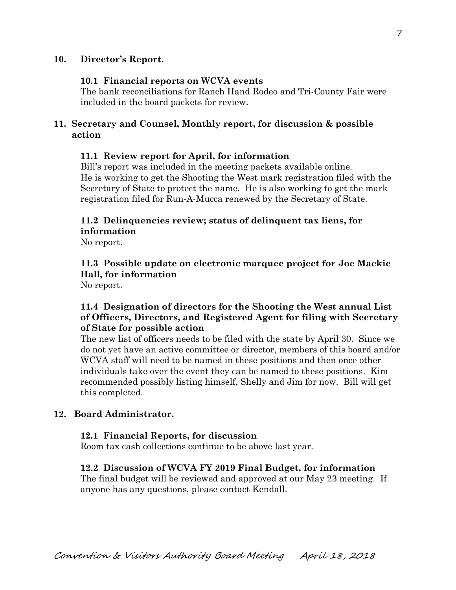## **10. Director's Report.**

#### **10.1 Financial reports on WCVA events**

The bank reconciliations for Ranch Hand Rodeo and Tri-County Fair were included in the board packets for review.

# **11. Secretary and Counsel, Monthly report, for discussion & possible action**

#### **11.1 Review report for April, for information**

Bill's report was included in the meeting packets available online. He is working to get the Shooting the West mark registration filed with the Secretary of State to protect the name. He is also working to get the mark registration filed for Run-A-Mucca renewed by the Secretary of State.

## **11.2 Delinquencies review; status of delinquent tax liens, for information**

No report.

# **11.3 Possible update on electronic marquee project for Joe Mackie Hall, for information**

No report.

# **11.4 Designation of directors for the Shooting the West annual List of Officers, Directors, and Registered Agent for filing with Secretary of State for possible action**

The new list of officers needs to be filed with the state by April 30. Since we do not yet have an active committee or director, members of this board and/or WCVA staff will need to be named in these positions and then once other individuals take over the event they can be named to these positions. Kim recommended possibly listing himself, Shelly and Jim for now. Bill will get this completed.

#### **12. Board Administrator.**

#### **12.1 Financial Reports, for discussion**

Room tax cash collections continue to be above last year.

#### **12.2 Discussion of WCVA FY 2019 Final Budget, for information**

The final budget will be reviewed and approved at our May 23 meeting. If anyone has any questions, please contact Kendall.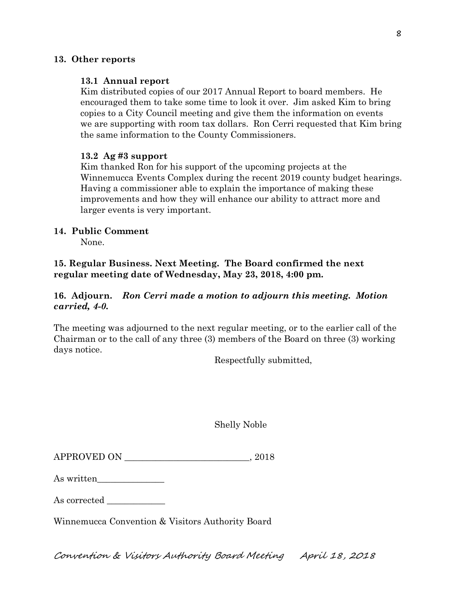## **13. Other reports**

#### **13.1 Annual report**

Kim distributed copies of our 2017 Annual Report to board members. He encouraged them to take some time to look it over. Jim asked Kim to bring copies to a City Council meeting and give them the information on events we are supporting with room tax dollars. Ron Cerri requested that Kim bring the same information to the County Commissioners.

## **13.2 Ag #3 support**

Kim thanked Ron for his support of the upcoming projects at the Winnemucca Events Complex during the recent 2019 county budget hearings. Having a commissioner able to explain the importance of making these improvements and how they will enhance our ability to attract more and larger events is very important.

## **14. Public Comment**

None.

**15. Regular Business. Next Meeting. The Board confirmed the next regular meeting date of Wednesday, May 23, 2018, 4:00 pm.** 

# **16. Adjourn.** *Ron Cerri made a motion to adjourn this meeting. Motion carried, 4-0.*

The meeting was adjourned to the next regular meeting, or to the earlier call of the Chairman or to the call of any three (3) members of the Board on three (3) working days notice.

Respectfully submitted,

|--|

| As written |  |
|------------|--|
|------------|--|

As corrected

Winnemucca Convention & Visitors Authority Board

Convention & Visitors Authority Board Meeting April 18, 2018